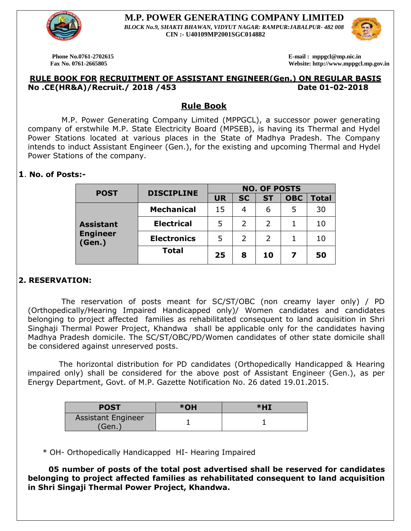

 **M.P. POWER GENERATING COMPANY LIMITED**  *BLOCK No.9, SHAKTI BHAWAN, VIDYUT NAGAR: RAMPUR:JABALPUR- 482 008* **CIN :- U40109MP2001SGC014882**

**Phone No.0761-2702615 E-mail : mppgcl@mp.nic.in** 

 **Fax No. 0761-2665805 Website: http://www.mppgcl.mp.gov.in**

#### **RULE BOOK FOR RECRUITMENT OF ASSISTANT ENGINEER(Gen.) ON REGULAR BASIS No .CE(HR&A)/Recruit./ 2018 /453 Date 01-02-2018**

#### **Rule Book**

 M.P. Power Generating Company Limited (MPPGCL), a successor power generating company of erstwhile M.P. State Electricity Board (MPSEB), is having its Thermal and Hydel Power Stations located at various places in the State of Madhya Pradesh. The Company intends to induct Assistant Engineer (Gen.), for the existing and upcoming Thermal and Hydel Power Stations of the company.

#### **1**. **No. of Posts:-**

| <b>POST</b>               | <b>DISCIPLINE</b>  | <b>NO. OF POSTS</b> |               |               |            |       |
|---------------------------|--------------------|---------------------|---------------|---------------|------------|-------|
|                           |                    | <b>UR</b>           | <b>SC</b>     | <b>ST</b>     | <b>OBC</b> | Total |
|                           | <b>Mechanical</b>  | 15                  | 4             | 6             | 5          | 30    |
| <b>Assistant</b>          | <b>Electrical</b>  | 5                   | $\mathcal{L}$ | 2             |            | 10    |
| <b>Engineer</b><br>(Gen.) | <b>Electronics</b> | 5                   |               | $\mathcal{P}$ |            | 10    |
|                           | <b>Total</b>       | 25                  | 8             | 10            | 7          | 50    |

#### **2. RESERVATION:**

 The reservation of posts meant for SC/ST/OBC (non creamy layer only) / PD (Orthopedically/Hearing Impaired Handicapped only)/ Women candidates and candidates belonging to project affected families as rehabilitated consequent to land acquisition in Shri Singhaji Thermal Power Project, Khandwa shall be applicable only for the candidates having Madhya Pradesh domicile. The SC/ST/OBC/PD/Women candidates of other state domicile shall be considered against unreserved posts.

 The horizontal distribution for PD candidates (Orthopedically Handicapped & Hearing impaired only) shall be considered for the above post of Assistant Engineer (Gen.), as per Energy Department, Govt. of M.P. Gazette Notification No. 26 dated 19.01.2015.

| <b>POST</b>                        | *OH | $*$ HI |
|------------------------------------|-----|--------|
| <b>Assistant Engineer</b><br>'Gen. |     |        |

\* OH- Orthopedically Handicapped HI- Hearing Impaired

 **05 number of posts of the total post advertised shall be reserved for candidates belonging to project affected families as rehabilitated consequent to land acquisition in Shri Singaji Thermal Power Project, Khandwa.** 

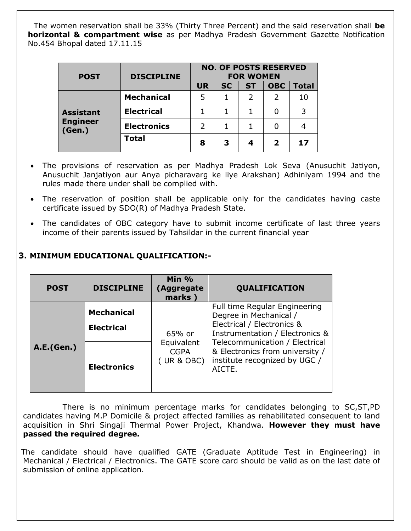The women reservation shall be 33% (Thirty Three Percent) and the said reservation shall **be horizontal & compartment wise** as per Madhya Pradesh Government Gazette Notification No.454 Bhopal dated 17.11.15

| <b>POST</b>               | <b>DISCIPLINE</b>  | <b>NO. OF POSTS RESERVED</b><br><b>FOR WOMEN</b> |           |               |              |              |
|---------------------------|--------------------|--------------------------------------------------|-----------|---------------|--------------|--------------|
|                           |                    | <b>UR</b>                                        | <b>SC</b> | <b>ST</b>     | <b>OBC</b>   | <b>Total</b> |
|                           | <b>Mechanical</b>  | 5                                                |           | $\mathcal{P}$ | 2            | 10           |
| <b>Assistant</b>          | <b>Electrical</b>  |                                                  |           |               |              | 3            |
| <b>Engineer</b><br>(Gen.) | <b>Electronics</b> |                                                  |           |               |              |              |
|                           | <b>Total</b>       | 8                                                | 3         | 4             | $\mathbf{2}$ | 17           |

- The provisions of reservation as per Madhya Pradesh Lok Seva (Anusuchit Jatiyon, Anusuchit Janjatiyon aur Anya picharavarg ke liye Arakshan) Adhiniyam 1994 and the rules made there under shall be complied with.
- The reservation of position shall be applicable only for the candidates having caste certificate issued by SDO(R) of Madhya Pradesh State.
- The candidates of OBC category have to submit income certificate of last three years income of their parents issued by Tahsildar in the current financial year

# **3. MINIMUM EDUCATIONAL QUALIFICATION:-**

| <b>POST</b> | <b>DISCIPLINE</b>  | Min $%$<br>(Aggregate<br>marks)         | <b>QUALIFICATION</b>                                                                                         |  |  |
|-------------|--------------------|-----------------------------------------|--------------------------------------------------------------------------------------------------------------|--|--|
| A.E.(Gen.)  | <b>Mechanical</b>  |                                         | Full time Regular Engineering<br>Degree in Mechanical /<br>Electrical / Electronics &                        |  |  |
|             | <b>Electrical</b>  | 65% or                                  | Instrumentation / Electronics &                                                                              |  |  |
|             | <b>Electronics</b> | Equivalent<br><b>CGPA</b><br>(UR & OBC) | Telecommunication / Electrical<br>& Electronics from university /<br>institute recognized by UGC /<br>AICTE. |  |  |

 There is no minimum percentage marks for candidates belonging to SC,ST,PD candidates having M.P Domicile & project affected families as rehabilitated consequent to land acquisition in Shri Singaji Thermal Power Project, Khandwa. **However they must have passed the required degree.**

The candidate should have qualified GATE (Graduate Aptitude Test in Engineering) in Mechanical / Electrical / Electronics. The GATE score card should be valid as on the last date of submission of online application.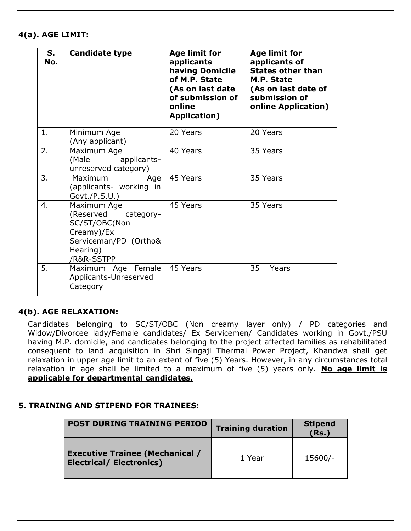#### **4(a). AGE LIMIT:**

| S.<br>No. | <b>Candidate type</b>                                                                                                   | <b>Age limit for</b><br>applicants<br>having Domicile<br>of M.P. State<br>(As on last date<br>of submission of<br>online<br><b>Application</b> ) | <b>Age limit for</b><br>applicants of<br><b>States other than</b><br>M.P. State<br>(As on last date of<br>submission of<br><b>online Application)</b> |
|-----------|-------------------------------------------------------------------------------------------------------------------------|--------------------------------------------------------------------------------------------------------------------------------------------------|-------------------------------------------------------------------------------------------------------------------------------------------------------|
| 1.        | Minimum Age<br>(Any applicant)                                                                                          | 20 Years                                                                                                                                         | 20 Years                                                                                                                                              |
| 2.        | Maximum Age<br>(Male<br>applicants-<br>unreserved category)                                                             | 40 Years                                                                                                                                         | 35 Years                                                                                                                                              |
| 3.        | Maximum<br>Age<br>(applicants- working in<br>Govt./P.S.U.)                                                              | 45 Years                                                                                                                                         | 35 Years                                                                                                                                              |
| 4.        | Maximum Age<br>(Reserved<br>category-<br>SC/ST/OBC(Non<br>Creamy)/Ex<br>Serviceman/PD (Ortho&<br>Hearing)<br>/R&R-SSTPP | 45 Years                                                                                                                                         | 35 Years                                                                                                                                              |
| 5.        | Maximum Age Female<br>Applicants-Unreserved<br>Category                                                                 | 45 Years                                                                                                                                         | 35<br>Years                                                                                                                                           |

# **4(b). AGE RELAXATION:**

Candidates belonging to SC/ST/OBC (Non creamy layer only) / PD categories and Widow/Divorcee lady/Female candidates/ Ex Servicemen/ Candidates working in Govt./PSU having M.P. domicile, and candidates belonging to the project affected families as rehabilitated consequent to land acquisition in Shri Singaji Thermal Power Project, Khandwa shall get relaxation in upper age limit to an extent of five (5) Years. However, in any circumstances total relaxation in age shall be limited to a maximum of five (5) years only. **No age limit is applicable for departmental candidates.**

#### **5. TRAINING AND STIPEND FOR TRAINEES:**

| <b>POST DURING TRAINING PERIOD</b>                                        | <b>Training duration</b> | <b>Stipend</b><br>(Rs.) |  |
|---------------------------------------------------------------------------|--------------------------|-------------------------|--|
| <b>Executive Trainee (Mechanical /</b><br><b>Electrical/ Electronics)</b> | 1 Year                   | 15600/-                 |  |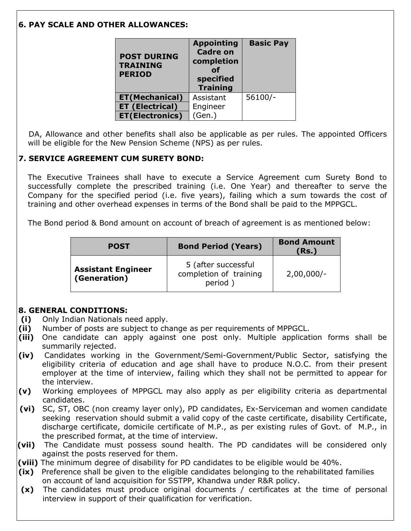# **6. PAY SCALE AND OTHER ALLOWANCES:**

| <b>POST DURING</b><br><b>TRAINING</b><br><b>PERIOD</b> | <b>Appointing</b><br><b>Cadre on</b><br>completion<br>Ωf<br>specified<br><b>Training</b> | <b>Basic Pay</b> |  |
|--------------------------------------------------------|------------------------------------------------------------------------------------------|------------------|--|
| <b>ET(Mechanical)</b>                                  | Assistant                                                                                | $56100/-$        |  |
| <b>ET (Electrical)</b>                                 | Engineer                                                                                 |                  |  |
| <b>ET(Electronics)</b>                                 | (Gen.)                                                                                   |                  |  |

 DA, Allowance and other benefits shall also be applicable as per rules. The appointed Officers will be eligible for the New Pension Scheme (NPS) as per rules.

# **7. SERVICE AGREEMENT CUM SURETY BOND:**

The Executive Trainees shall have to execute a Service Agreement cum Surety Bond to successfully complete the prescribed training (i.e. One Year) and thereafter to serve the Company for the specified period (i.e. five years), failing which a sum towards the cost of training and other overhead expenses in terms of the Bond shall be paid to the MPPGCL.

The Bond period & Bond amount on account of breach of agreement is as mentioned below:

| <b>POST</b>                                      | <b>Bond Period (Years)</b>                               | <b>Bond Amount</b><br>(Rs.) |
|--------------------------------------------------|----------------------------------------------------------|-----------------------------|
| <b>Assistant Engineer</b><br><b>(Generation)</b> | 5 (after successful<br>completion of training<br>period) | $2,00,000/-$                |

# **8. GENERAL CONDITIONS:**

- **(i)** Only Indian Nationals need apply.
- **(ii)** Number of posts are subject to change as per requirements of MPPGCL.
- **(iii)** One candidate can apply against one post only. Multiple application forms shall be summarily rejected.
- **(iv)** Candidates working in the Government/Semi-Government/Public Sector, satisfying the eligibility criteria of education and age shall have to produce N.O.C. from their present employer at the time of interview, failing which they shall not be permitted to appear for the interview.
- **(v)** Working employees of MPPGCL may also apply as per eligibility criteria as departmental candidates.
- **(vi)** SC, ST, OBC (non creamy layer only), PD candidates, Ex-Serviceman and women candidate seeking reservation should submit a valid copy of the caste certificate, disability Certificate, discharge certificate, domicile certificate of M.P., as per existing rules of Govt. of M.P., in the prescribed format, at the time of interview.
- **(vii)** The Candidate must possess sound health. The PD candidates will be considered only against the posts reserved for them.
- **(viii)** The minimum degree of disability for PD candidates to be eligible would be 40%.
- **(ix)** Preference shall be given to the eligible candidates belonging to the rehabilitated families on account of land acquisition for SSTPP, Khandwa under R&R policy.
- **(x)** The candidates must produce original documents / certificates at the time of personal interview in support of their qualification for verification.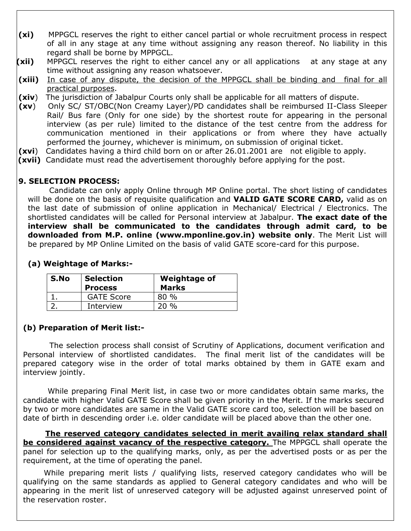- **(xi)** MPPGCL reserves the right to either cancel partial or whole recruitment process in respect of all in any stage at any time without assigning any reason thereof. No liability in this regard shall be borne by MPPGCL.
- **(xii)** MPPGCL reserves the right to either cancel any or all applications at any stage at any time without assigning any reason whatsoever.
- **(xiii)** In case of any dispute, the decision of the MPPGCL shall be binding and final for all practical purposes.
- **(xiv**) The jurisdiction of Jabalpur Courts only shall be applicable for all matters of dispute.
- **(xv**) Only SC/ ST/OBC(Non Creamy Layer)/PD candidates shall be reimbursed II-Class Sleeper Rail/ Bus fare (Only for one side) by the shortest route for appearing in the personal interview (as per rule) limited to the distance of the test centre from the address for communication mentioned in their applications or from where they have actually performed the journey, whichever is minimum, on submission of original ticket.
- **(xvi**) Candidates having a third child born on or after 26.01.2001 are not eligible to apply.
- **(xvii)** Candidate must read the advertisement thoroughly before applying for the post.

### **9. SELECTION PROCESS:**

 Candidate can only apply Online through MP Online portal. The short listing of candidates will be done on the basis of requisite qualification and **VALID GATE SCORE CARD,** valid as on the last date of submission of online application in Mechanical/ Electrical / Electronics. The shortlisted candidates will be called for Personal interview at Jabalpur. **The exact date of the interview shall be communicated to the candidates through admit card, to be downloaded from M.P. online (www.mponline.gov.in) website only**. The Merit List will be prepared by MP Online Limited on the basis of valid GATE score-card for this purpose.

| S.No | <b>Selection</b><br><b>Process</b> | <b>Weightage of</b><br><b>Marks</b> |
|------|------------------------------------|-------------------------------------|
|      | <b>GATE Score</b>                  | 80 %                                |
|      | Interview                          | $\frac{0}{0}$                       |

### **(a) Weightage of Marks:-**

# **(b) Preparation of Merit list:-**

 The selection process shall consist of Scrutiny of Applications, document verification and Personal interview of shortlisted candidates. The final merit list of the candidates will be prepared category wise in the order of total marks obtained by them in GATE exam and interview jointly.

 While preparing Final Merit list, in case two or more candidates obtain same marks, the candidate with higher Valid GATE Score shall be given priority in the Merit. If the marks secured by two or more candidates are same in the Valid GATE score card too, selection will be based on date of birth in descending order i.e. older candidate will be placed above than the other one.

 **The reserved category candidates selected in merit availing relax standard shall be considered against vacancy of the respective category.** The MPPGCL shall operate the panel for selection up to the qualifying marks, only, as per the advertised posts or as per the requirement, at the time of operating the panel.

 While preparing merit lists / qualifying lists, reserved category candidates who will be qualifying on the same standards as applied to General category candidates and who will be appearing in the merit list of unreserved category will be adjusted against unreserved point of the reservation roster.